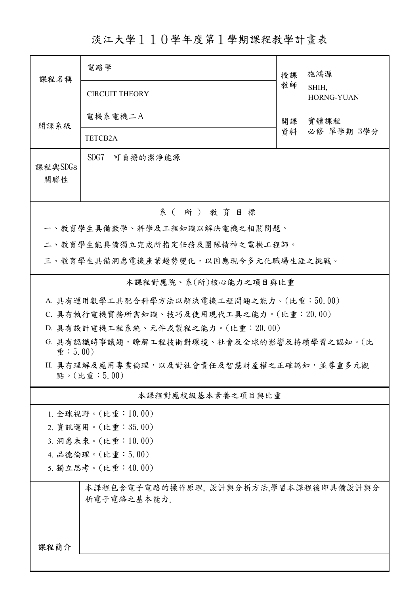淡江大學110學年度第1學期課程教學計畫表

| 課程名稱                                                    | 電路學                                                                        | 授課 | 施鴻源                 |  |  |  |  |  |
|---------------------------------------------------------|----------------------------------------------------------------------------|----|---------------------|--|--|--|--|--|
|                                                         | <b>CIRCUIT THEORY</b>                                                      | 教師 | SHIH,<br>HORNG-YUAN |  |  |  |  |  |
| 開課系級                                                    | 電機系電機二A                                                                    | 開課 | 實體課程                |  |  |  |  |  |
|                                                         | TETCB2A                                                                    | 資料 | 必修 單學期 3學分          |  |  |  |  |  |
| 課程與SDGs<br>關聯性                                          | SDG7<br>可負擔的潔淨能源                                                           |    |                     |  |  |  |  |  |
| 系 (所) 教育目標                                              |                                                                            |    |                     |  |  |  |  |  |
|                                                         | 一、教育學生具備數學、科學及工程知識以解決電機之相關問題。                                              |    |                     |  |  |  |  |  |
|                                                         | 二、教育學生能具備獨立完成所指定任務及團隊精神之電機工程師。                                             |    |                     |  |  |  |  |  |
|                                                         | 三、教育學生具備洞悉電機產業趨勢變化,以因應現今多元化職場生涯之挑戰。                                        |    |                     |  |  |  |  |  |
| 本課程對應院、系(所)核心能力之項目與比重                                   |                                                                            |    |                     |  |  |  |  |  |
|                                                         | A. 具有運用數學工具配合科學方法以解決電機工程問題之能力。(比重:50.00)                                   |    |                     |  |  |  |  |  |
|                                                         | C. 具有執行電機實務所需知識、技巧及使用現代工具之能力。(比重:20.00)                                    |    |                     |  |  |  |  |  |
|                                                         | D. 具有設計電機工程系統、元件或製程之能力。(比重: 20.00)                                         |    |                     |  |  |  |  |  |
|                                                         | G. 具有認識時事議題,瞭解工程技術對環境、社會及全球的影響及持續學習之認知。(比<br>$\hat{\mathbf{\Psi}}$ : 5.00) |    |                     |  |  |  |  |  |
| H. 具有理解及應用專業倫理,以及對社會責任及智慧財產權之正確認知,並尊重多元觀<br>點。(比重:5.00) |                                                                            |    |                     |  |  |  |  |  |
| 本課程對應校級基本素養之項目與比重                                       |                                                                            |    |                     |  |  |  |  |  |
| 1. 全球視野。(比重:10.00)                                      |                                                                            |    |                     |  |  |  |  |  |
| 2. 資訊運用。(比重:35.00)                                      |                                                                            |    |                     |  |  |  |  |  |
| 3. 洞悉未來。(比重:10.00)                                      |                                                                            |    |                     |  |  |  |  |  |
| 4. 品德倫理。(比重:5.00)                                       |                                                                            |    |                     |  |  |  |  |  |
| 5. 獨立思考。(比重:40.00)                                      |                                                                            |    |                     |  |  |  |  |  |
|                                                         | 本課程包含電子電路的操作原理, 設計與分析方法,學習本課程後即具備設計與分<br>析電子電路之基本能力.                       |    |                     |  |  |  |  |  |
| 課程簡介                                                    |                                                                            |    |                     |  |  |  |  |  |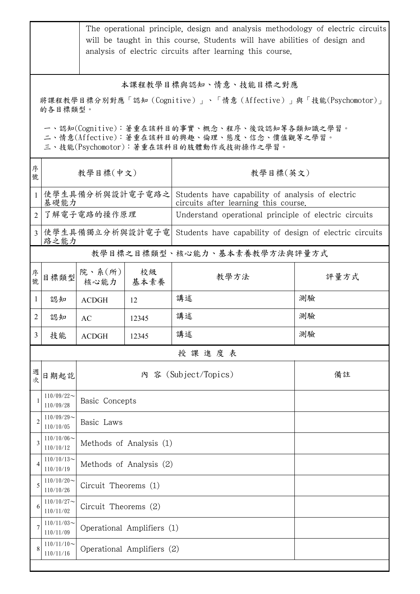|                                                                                                                                                                                                  | The operational principle, design and analysis methodology of electric circuits<br>will be taught in this course. Students will have abilities of design and<br>analysis of electric circuits after learning this course. |                            |            |                                                                                          |      |  |  |
|--------------------------------------------------------------------------------------------------------------------------------------------------------------------------------------------------|---------------------------------------------------------------------------------------------------------------------------------------------------------------------------------------------------------------------------|----------------------------|------------|------------------------------------------------------------------------------------------|------|--|--|
| 本課程教學目標與認知、情意、技能目標之對應<br>將課程教學目標分別對應「認知(Cognitive)」、「情意(Affective)」與「技能(Psychomotor)」<br>的各目標類型。<br>一、認知(Cognitive):著重在該科目的事實、概念、程序、後設認知等各類知識之學習。<br>二、情意(Affective):著重在該科目的興趣、倫理、態度、信念、價值觀等之學習。 |                                                                                                                                                                                                                           |                            |            |                                                                                          |      |  |  |
| 序<br>號                                                                                                                                                                                           | 三、技能(Psychomotor):著重在該科目的肢體動作或技術操作之學習。<br>教學目標(中文)                                                                                                                                                                        |                            |            | 教學目標(英文)                                                                                 |      |  |  |
| $\mathbf{1}$                                                                                                                                                                                     | 使學生具備分析與設計電子電路之<br>基礎能力                                                                                                                                                                                                   |                            |            | Students have capability of analysis of electric<br>circuits after learning this course. |      |  |  |
| $\overline{2}$                                                                                                                                                                                   | 了解電子電路的操作原理                                                                                                                                                                                                               |                            |            | Understand operational principle of electric circuits                                    |      |  |  |
|                                                                                                                                                                                                  | 路之能力                                                                                                                                                                                                                      |                            |            | 3 使學生具備獨立分析與設計電子電 Students have capability of design of electric circuits                |      |  |  |
|                                                                                                                                                                                                  |                                                                                                                                                                                                                           |                            |            | 教學目標之目標類型、核心能力、基本素養教學方法與評量方式                                                             |      |  |  |
| 序號                                                                                                                                                                                               | 目標類型                                                                                                                                                                                                                      | 院、系(所)<br>核心能力             | 校級<br>基本素養 | 教學方法                                                                                     | 評量方式 |  |  |
| $\mathbf{1}$                                                                                                                                                                                     | 認知                                                                                                                                                                                                                        | <b>ACDGH</b>               | 12         | 講述                                                                                       | 測驗   |  |  |
| 2                                                                                                                                                                                                | 認知                                                                                                                                                                                                                        | AC                         | 12345      | 講述                                                                                       | 測驗   |  |  |
| 3 <sup>1</sup>                                                                                                                                                                                   | 技能                                                                                                                                                                                                                        | <b>ACDGH</b>               | 12345      | 講述                                                                                       | 測驗   |  |  |
|                                                                                                                                                                                                  |                                                                                                                                                                                                                           |                            |            | 授課進度表                                                                                    |      |  |  |
| 週次                                                                                                                                                                                               | 日期起訖                                                                                                                                                                                                                      |                            |            | 內 容 (Subject/Topics)                                                                     | 備註   |  |  |
|                                                                                                                                                                                                  | $110/09/22$ ~<br>110/09/28                                                                                                                                                                                                | Basic Concepts             |            |                                                                                          |      |  |  |
| $\overline{c}$                                                                                                                                                                                   | $110/09/29$ ~<br>110/10/05                                                                                                                                                                                                | Basic Laws                 |            |                                                                                          |      |  |  |
| 3                                                                                                                                                                                                | $110/10/06$ ~<br>110/10/12                                                                                                                                                                                                | Methods of Analysis (1)    |            |                                                                                          |      |  |  |
| 4                                                                                                                                                                                                | $110/10/13$ ~<br>110/10/19                                                                                                                                                                                                | Methods of Analysis (2)    |            |                                                                                          |      |  |  |
| 5                                                                                                                                                                                                | $110/10/20$ ~<br>110/10/26                                                                                                                                                                                                | Circuit Theorems (1)       |            |                                                                                          |      |  |  |
| 6                                                                                                                                                                                                | $110/10/27$ ~<br>110/11/02                                                                                                                                                                                                | Circuit Theorems (2)       |            |                                                                                          |      |  |  |
|                                                                                                                                                                                                  | $110/11/03$ ~<br>110/11/09                                                                                                                                                                                                | Operational Amplifiers (1) |            |                                                                                          |      |  |  |
|                                                                                                                                                                                                  | $110/11/10$ ~<br>110/11/16                                                                                                                                                                                                | Operational Amplifiers (2) |            |                                                                                          |      |  |  |